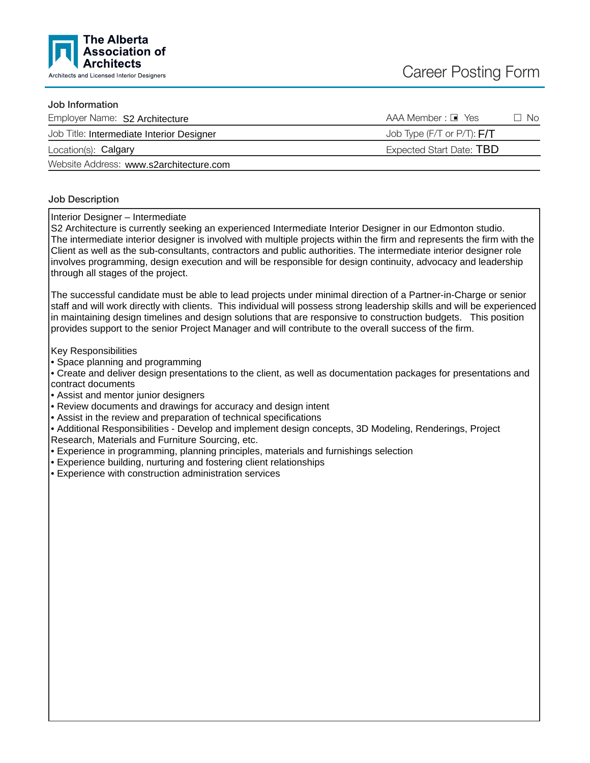

### Job Information

| Employer Name: S2 Architecture            | AAA Member : ■ Yes<br>∃ No   |
|-------------------------------------------|------------------------------|
| Job Title: Intermediate Interior Designer | Job Type (F/T or P/T): $F/T$ |
| Location(s): Calgary                      | Expected Start Date: TBD     |
| Wahaita Address: www.c?arabitacture.com   |                              |

Website Address: www.s2architecture.com

### Job Description

Interior Designer – Intermediate

S2 Architecture is currently seeking an experienced Intermediate Interior Designer in our Edmonton studio. The intermediate interior designer is involved with multiple projects within the firm and represents the firm with the Client as well as the sub-consultants, contractors and public authorities. The intermediate interior designer role involves programming, design execution and will be responsible for design continuity, advocacy and leadership through all stages of the project.

The successful candidate must be able to lead projects under minimal direction of a Partner-in-Charge or senior staff and will work directly with clients. This individual will possess strong leadership skills and will be experienced in maintaining design timelines and design solutions that are responsive to construction budgets. This position provides support to the senior Project Manager and will contribute to the overall success of the firm.

Key Responsibilities

• Space planning and programming

• Create and deliver design presentations to the client, as well as documentation packages for presentations and contract documents

• Assist and mentor junior designers

• Review documents and drawings for accuracy and design intent

• Assist in the review and preparation of technical specifications

• Additional Responsibilities - Develop and implement design concepts, 3D Modeling, Renderings, Project Research, Materials and Furniture Sourcing, etc.

• Experience in programming, planning principles, materials and furnishings selection

• Experience building, nurturing and fostering client relationships

• Experience with construction administration services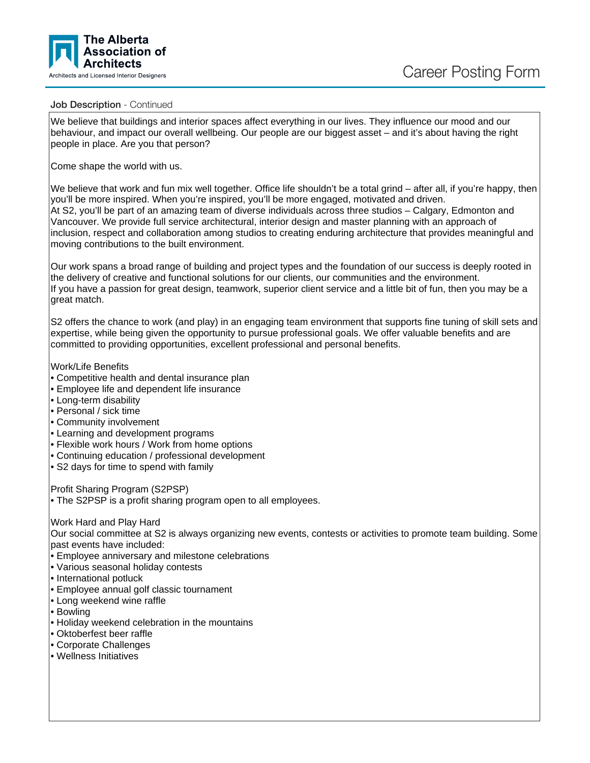



#### Job Description - Continued

We believe that buildings and interior spaces affect everything in our lives. They influence our mood and our behaviour, and impact our overall wellbeing. Our people are our biggest asset – and it's about having the right people in place. Are you that person?

Come shape the world with us.

We believe that work and fun mix well together. Office life shouldn't be a total grind – after all, if you're happy, then you'll be more inspired. When you're inspired, you'll be more engaged, motivated and driven. At S2, you'll be part of an amazing team of diverse individuals across three studios – Calgary, Edmonton and Vancouver. We provide full service architectural, interior design and master planning with an approach of inclusion, respect and collaboration among studios to creating enduring architecture that provides meaningful and moving contributions to the built environment.

Our work spans a broad range of building and project types and the foundation of our success is deeply rooted in the delivery of creative and functional solutions for our clients, our communities and the environment. If you have a passion for great design, teamwork, superior client service and a little bit of fun, then you may be a great match.

S2 offers the chance to work (and play) in an engaging team environment that supports fine tuning of skill sets and expertise, while being given the opportunity to pursue professional goals. We offer valuable benefits and are committed to providing opportunities, excellent professional and personal benefits.

Work/Life Benefits

- Competitive health and dental insurance plan
- Employee life and dependent life insurance
- Long-term disability
- Personal / sick time
- Community involvement
- Learning and development programs
- Flexible work hours / Work from home options
- Continuing education / professional development
- S2 days for time to spend with family

Profit Sharing Program (S2PSP)

• The S2PSP is a profit sharing program open to all employees.

Work Hard and Play Hard

Our social committee at S2 is always organizing new events, contests or activities to promote team building. Some past events have included:

- Employee anniversary and milestone celebrations
- Various seasonal holiday contests
- International potluck
- Employee annual golf classic tournament
- Long weekend wine raffle
- Bowling
- Holiday weekend celebration in the mountains
- Oktoberfest beer raffle
- Corporate Challenges
- Wellness Initiatives